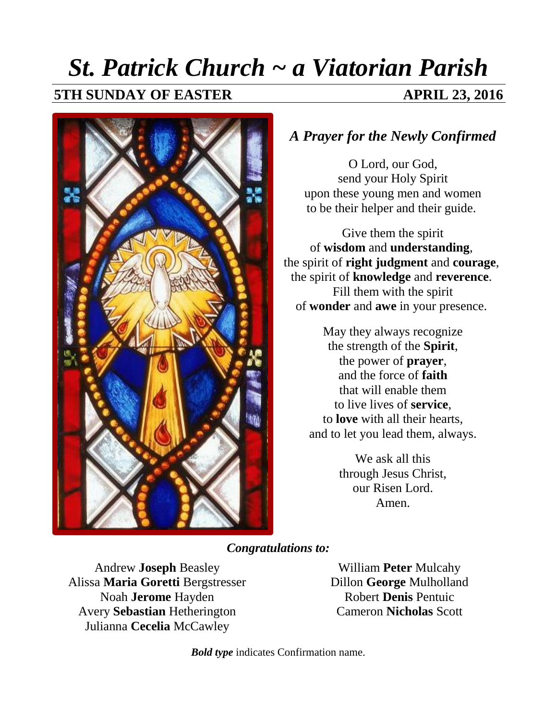## *St. Patrick Church ~ a Viatorian Parish*

#### **5TH SUNDAY OF EASTER APRIL 23, 2016**



#### *A Prayer for the Newly Confirmed*

O Lord, our God, send your Holy Spirit upon these young men and women to be their helper and their guide.

Give them the spirit of **wisdom** and **understanding**, the spirit of **right judgment** and **courage**, the spirit of **knowledge** and **reverence**. Fill them with the spirit of **wonder** and **awe** in your presence.

> May they always recognize the strength of the **Spirit**, the power of **prayer**, and the force of **faith** that will enable them to live lives of **service**, to **love** with all their hearts, and to let you lead them, always.

> > We ask all this through Jesus Christ, our Risen Lord. Amen.

*Congratulations to:*

Andrew **Joseph** Beasley Alissa **Maria Goretti** Bergstresser Noah **Jerome** Hayden Avery **Sebastian** Hetherington Julianna **Cecelia** McCawley

William **Peter** Mulcahy Dillon **George** Mulholland Robert **Denis** Pentuic Cameron **Nicholas** Scott

*Bold type* indicates Confirmation name.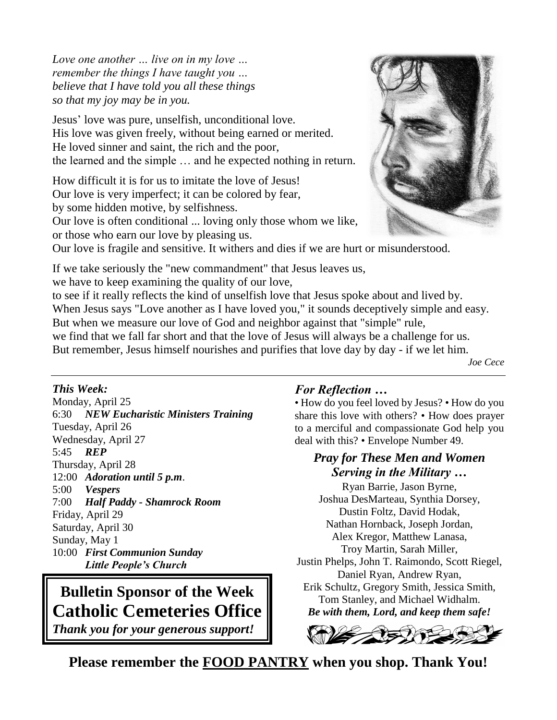*Love one another … live on in my love … remember the things I have taught you … believe that I have told you all these things so that my joy may be in you.*

Jesus' love was pure, unselfish, unconditional love. His love was given freely, without being earned or merited. He loved sinner and saint, the rich and the poor, the learned and the simple … and he expected nothing in return.

How difficult it is for us to imitate the love of Jesus! Our love is very imperfect; it can be colored by fear, by some hidden motive, by selfishness. Our love is often conditional ... loving only those whom we like, or those who earn our love by pleasing us.



Our love is fragile and sensitive. It withers and dies if we are hurt or misunderstood.

If we take seriously the "new commandment" that Jesus leaves us,

we have to keep examining the quality of our love,

to see if it really reflects the kind of unselfish love that Jesus spoke about and lived by. When Jesus says "Love another as I have loved you," it sounds deceptively simple and easy. But when we measure our love of God and neighbor against that "simple" rule, we find that we fall far short and that the love of Jesus will always be a challenge for us. But remember, Jesus himself nourishes and purifies that love day by day - if we let him.

*Joe Cece*

#### *This Week:*

Monday, April 25 6:30 *NEW Eucharistic Ministers Training* Tuesday, April 26 Wednesday, April 27 5:45 *REP* Thursday, April 28 12:00 *Adoration until 5 p.m*. 5:00 *Vespers* 7:00 *Half Paddy - Shamrock Room* Friday, April 29 Saturday, April 30 Sunday, May 1 10:00 *First Communion Sunday Little People's Church*

#### **Bulletin Sponsor of the Week Catholic Cemeteries Office** *Thank you for your generous support!*

#### *For Reflection …*

• How do you feel loved by Jesus? • How do you share this love with others? • How does prayer to a merciful and compassionate God help you deal with this? • Envelope Number 49.

#### *Pray for These Men and Women Serving in the Military …*

Ryan Barrie, Jason Byrne, Joshua DesMarteau, Synthia Dorsey, Dustin Foltz, David Hodak, Nathan Hornback, Joseph Jordan, Alex Kregor, Matthew Lanasa, Troy Martin, Sarah Miller, Justin Phelps, John T. Raimondo, Scott Riegel, Daniel Ryan, Andrew Ryan, Erik Schultz, Gregory Smith, Jessica Smith, Tom Stanley, and Michael Widhalm. *Be with them, Lord, and keep them safe!*



**Please remember the FOOD PANTRY when you shop. Thank You!**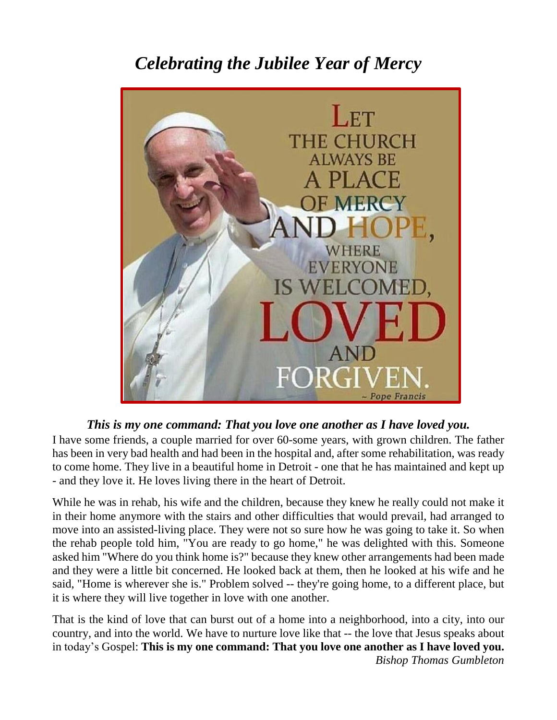## *Celebrating the Jubilee Year of Mercy*



#### *This is my one command: That you love one another as I have loved you.*

I have some friends, a couple married for over 60-some years, with grown children. The father has been in very bad health and had been in the hospital and, after some rehabilitation, was ready to come home. They live in a beautiful home in Detroit - one that he has maintained and kept up - and they love it. He loves living there in the heart of Detroit.

While he was in rehab, his wife and the children, because they knew he really could not make it in their home anymore with the stairs and other difficulties that would prevail, had arranged to move into an assisted-living place. They were not so sure how he was going to take it. So when the rehab people told him, "You are ready to go home," he was delighted with this. Someone asked him "Where do you think home is?" because they knew other arrangements had been made and they were a little bit concerned. He looked back at them, then he looked at his wife and he said, "Home is wherever she is." Problem solved -- they're going home, to a different place, but it is where they will live together in love with one another.

That is the kind of love that can burst out of a home into a neighborhood, into a city, into our country, and into the world. We have to nurture love like that -- the love that Jesus speaks about in today's Gospel: **This is my one command: That you love one another as I have loved you.** *Bishop Thomas Gumbleton*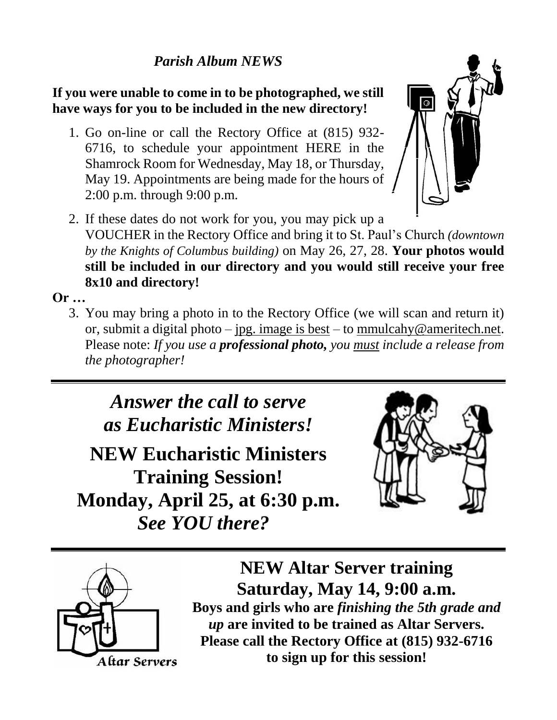#### *Parish Album NEWS*

**If you were unable to come in to be photographed, we still have ways for you to be included in the new directory!**

1. Go on-line or call the Rectory Office at (815) 932- 6716, to schedule your appointment HERE in the Shamrock Room for Wednesday, May 18, or Thursday, May 19. Appointments are being made for the hours of 2:00 p.m. through 9:00 p.m.



2. If these dates do not work for you, you may pick up a VOUCHER in the Rectory Office and bring it to St. Paul's Church *(downtown by the Knights of Columbus building)* on May 26, 27, 28. **Your photos would still be included in our directory and you would still receive your free 8x10 and directory!**

**Or …**

3. You may bring a photo in to the Rectory Office (we will scan and return it) or, submit a digital photo – jpg. image is best – to [mmulcahy@ameritech.net.](mailto:mmulcahy@ameritech.net) Please note: *If you use a professional photo, you must include a release from the photographer!*

*Answer the call to serve as Eucharistic Ministers!*

**NEW Eucharistic Ministers Training Session! Monday, April 25, at 6:30 p.m.**  *See YOU there?*





**NEW Altar Server training Saturday, May 14, 9:00 a.m. Boys and girls who are** *finishing the 5th grade and up* **are invited to be trained as Altar Servers. Please call the Rectory Office at (815) 932-6716 to sign up for this session!**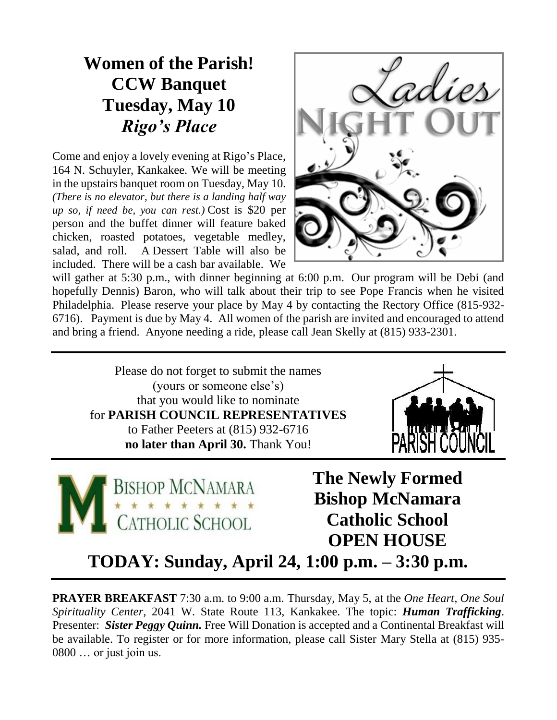### **Women of the Parish! CCW Banquet Tuesday, May 10** *Rigo's Place*

Come and enjoy a lovely evening at Rigo's Place, 164 N. Schuyler, Kankakee. We will be meeting in the upstairs banquet room on Tuesday, May 10*. (There is no elevator, but there is a landing half way up so, if need be, you can rest.)* Cost is \$20 per person and the buffet dinner will feature baked chicken, roasted potatoes, vegetable medley, salad, and roll. A Dessert Table will also be included. There will be a cash bar available. We



will gather at 5:30 p.m., with dinner beginning at 6:00 p.m. Our program will be Debi (and hopefully Dennis) Baron, who will talk about their trip to see Pope Francis when he visited Philadelphia. Please reserve your place by May 4 by contacting the Rectory Office (815-932- 6716). Payment is due by May 4. All women of the parish are invited and encouraged to attend and bring a friend. Anyone needing a ride, please call Jean Skelly at (815) 933-2301.

Please do not forget to submit the names (yours or someone else's) that you would like to nominate for **PARISH COUNCIL REPRESENTATIVES**  to Father Peeters at (815) 932-6716 **no later than April 30.** Thank You!





**The Newly Formed Bishop McNamara Catholic School OPEN HOUSE**

**TODAY: Sunday, April 24, 1:00 p.m. – 3:30 p.m.**

**PRAYER BREAKFAST** 7:30 a.m. to 9:00 a.m. Thursday, May 5, at the *One Heart, One Soul Spirituality Center,* 2041 W. State Route 113, Kankakee. The topic: *Human Trafficking*. Presenter: *Sister Peggy Quinn*. Free Will Donation is accepted and a Continental Breakfast will be available. To register or for more information, please call Sister Mary Stella at (815) 935- 0800 … or just join us.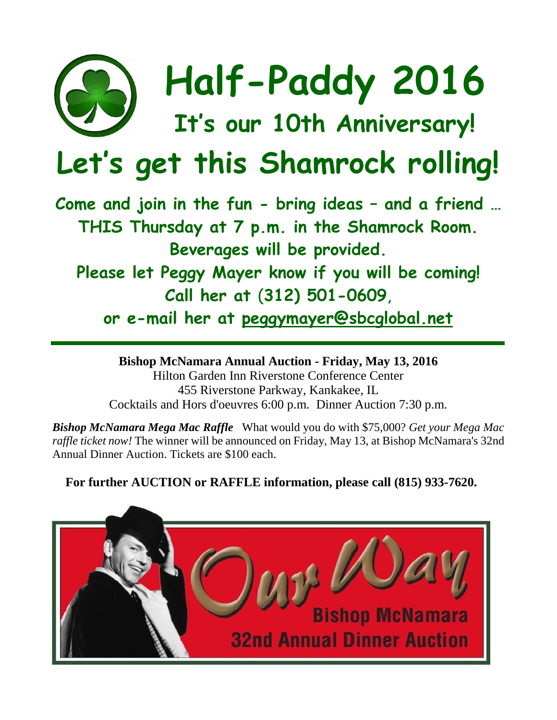

# **Half-Paddy 2016**

## **It' s our 10th Anniversary!**

# **Let's get this Shamrock rolling!**

**Come and join in the fun - bring ideas – and a friend … THIS Thursday at 7 p.m. in the Shamrock Room. Beverages will be provided. Please let Peggy Mayer know if you will be coming!**

**Call her at** (**312) 501-0609**,

**or e-mail her at [peggymayer@sbcglobal.net](mailto:peggymayer@sbcglobal.net)**

**Bishop McNamara Annual Auction - Friday, May 13, 2016** Hilton Garden Inn Riverstone Conference Center 455 Riverstone Parkway, Kankakee, IL Cocktails and Hors d'oeuvres 6:00 p.m. Dinner Auction 7:30 p.m.

*Bishop McNamara Mega Mac Raffle* What would you do with \$75,000? *Get your Mega Mac raffle ticket now!* The winner will be announced on Friday, May 13, at Bishop McNamara's 32nd Annual Dinner Auction. Tickets are \$100 each.

**For further AUCTION or RAFFLE information, please call (815) 933-7620.**